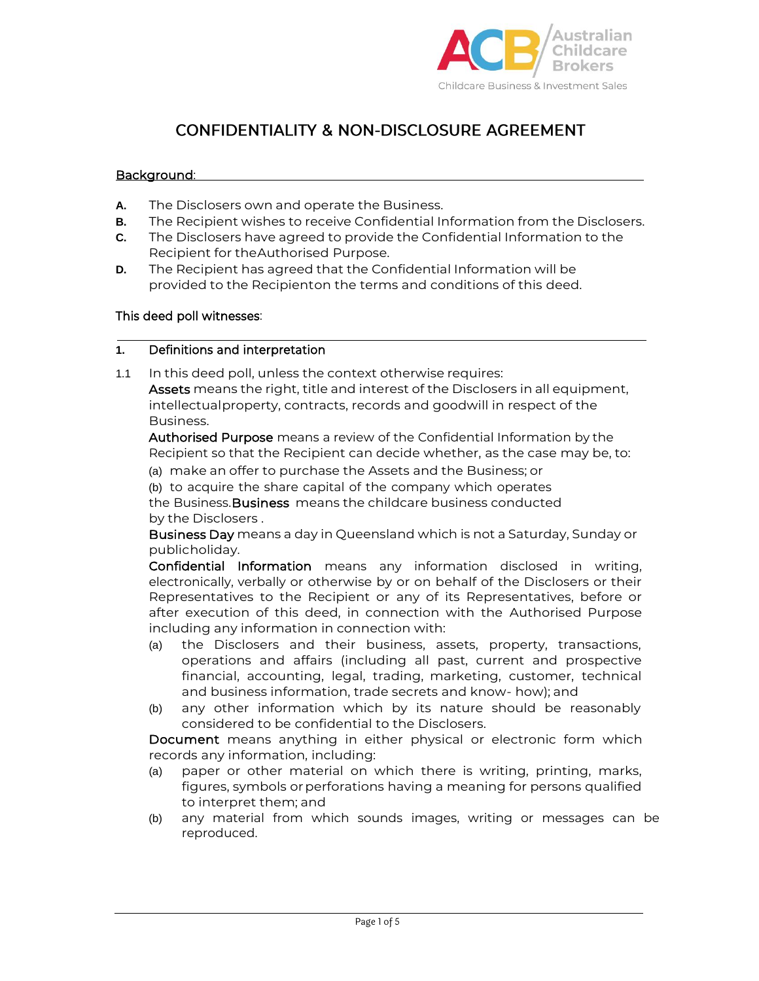

# **CONFIDENTIALITY & NON-DISCLOSURE AGREEMENT**

## Background:

- **A.** The Disclosers own and operate the Business.
- **B.** The Recipient wishes to receive Confidential Information from the Disclosers.
- **C.** The Disclosers have agreed to provide the Confidential Information to the Recipient for theAuthorised Purpose.
- **D.** The Recipient has agreed that the Confidential Information will be provided to the Recipienton the terms and conditions of this deed.

## This deed poll witnesses:

## **1.** Definitions and interpretation

1.1 In this deed poll, unless the context otherwise requires: Assets means the right, title and interest of the Disclosers in all equipment, intellectualproperty, contracts, records and goodwill in respect of the Business.

Authorised Purpose means a review of the Confidential Information by the Recipient so that the Recipient can decide whether, as the case may be, to:

(a) make an offer to purchase the Assets and the Business; or

(b) to acquire the share capital of the company which operates the Business. Business means the childcare business conducted by the Disclosers .

Business Day means a day in Queensland which is not a Saturday, Sunday or publicholiday.

Confidential Information means any information disclosed in writing, electronically, verbally or otherwise by or on behalf of the Disclosers or their Representatives to the Recipient or any of its Representatives, before or after execution of this deed, in connection with the Authorised Purpose including any information in connection with:

- (a) the Disclosers and their business, assets, property, transactions, operations and affairs (including all past, current and prospective financial, accounting, legal, trading, marketing, customer, technical and business information, trade secrets and know- how); and
- (b) any other information which by its nature should be reasonably considered to be confidential to the Disclosers.

Document means anything in either physical or electronic form which records any information, including:

- (a) paper or other material on which there is writing, printing, marks, figures, symbols orperforations having a meaning for persons qualified to interpret them; and
- (b) any material from which sounds images, writing or messages can be reproduced.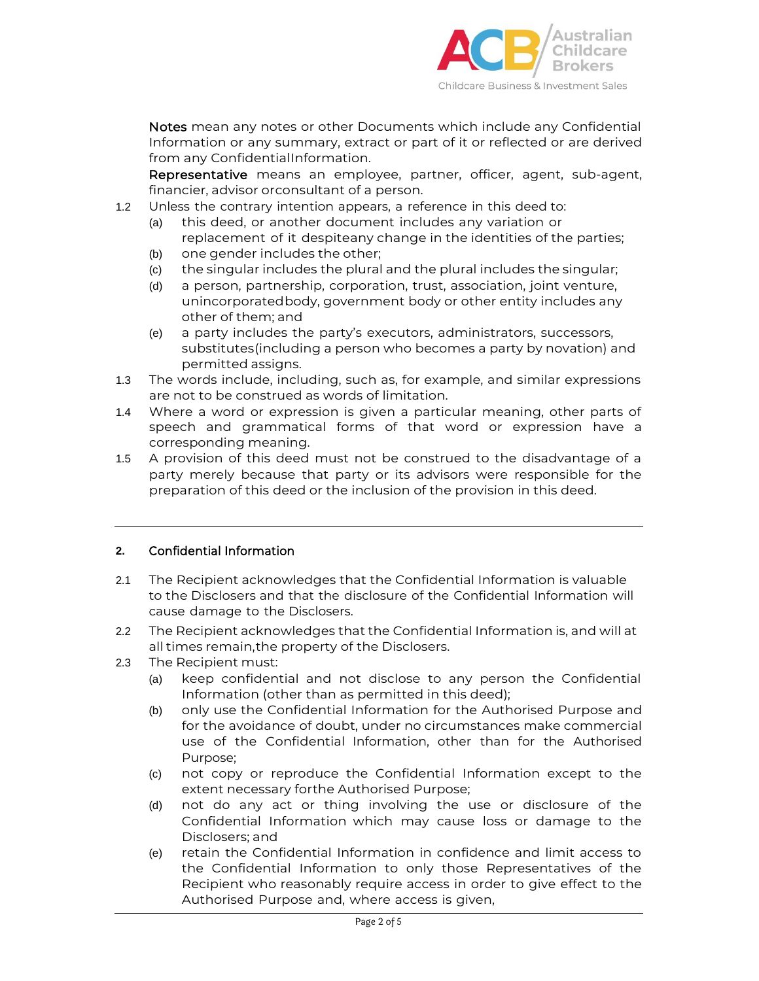

Notes mean any notes or other Documents which include any Confidential Information or any summary, extract or part of it or reflected or are derived from any ConfidentialInformation.

Representative means an employee, partner, officer, agent, sub-agent, financier, advisor orconsultant of a person.

- 1.2 Unless the contrary intention appears, a reference in this deed to:
	- (a) this deed, or another document includes any variation or replacement of it despiteany change in the identities of the parties;
	- (b) one gender includes the other;
	- (c) the singular includes the plural and the plural includes the singular;
	- (d) a person, partnership, corporation, trust, association, joint venture, unincorporatedbody, government body or other entity includes any other of them; and
	- (e) a party includes the party's executors, administrators, successors, substitutes(including a person who becomes a party by novation) and permitted assigns.
- 1.3 The words include, including, such as, for example, and similar expressions are not to be construed as words of limitation.
- 1.4 Where a word or expression is given a particular meaning, other parts of speech and grammatical forms of that word or expression have a corresponding meaning.
- 1.5 A provision of this deed must not be construed to the disadvantage of a party merely because that party or its advisors were responsible for the preparation of this deed or the inclusion of the provision in this deed.

# **2.** Confidential Information

- 2.1 The Recipient acknowledges that the Confidential Information is valuable to the Disclosers and that the disclosure of the Confidential Information will cause damage to the Disclosers.
- 2.2 The Recipient acknowledges that the Confidential Information is, and will at all times remain,the property of the Disclosers.
- 2.3 The Recipient must:
	- (a) keep confidential and not disclose to any person the Confidential Information (other than as permitted in this deed);
	- (b) only use the Confidential Information for the Authorised Purpose and for the avoidance of doubt, under no circumstances make commercial use of the Confidential Information, other than for the Authorised Purpose;
	- (c) not copy or reproduce the Confidential Information except to the extent necessary forthe Authorised Purpose;
	- (d) not do any act or thing involving the use or disclosure of the Confidential Information which may cause loss or damage to the Disclosers; and
	- (e) retain the Confidential Information in confidence and limit access to the Confidential Information to only those Representatives of the Recipient who reasonably require access in order to give effect to the Authorised Purpose and, where access is given,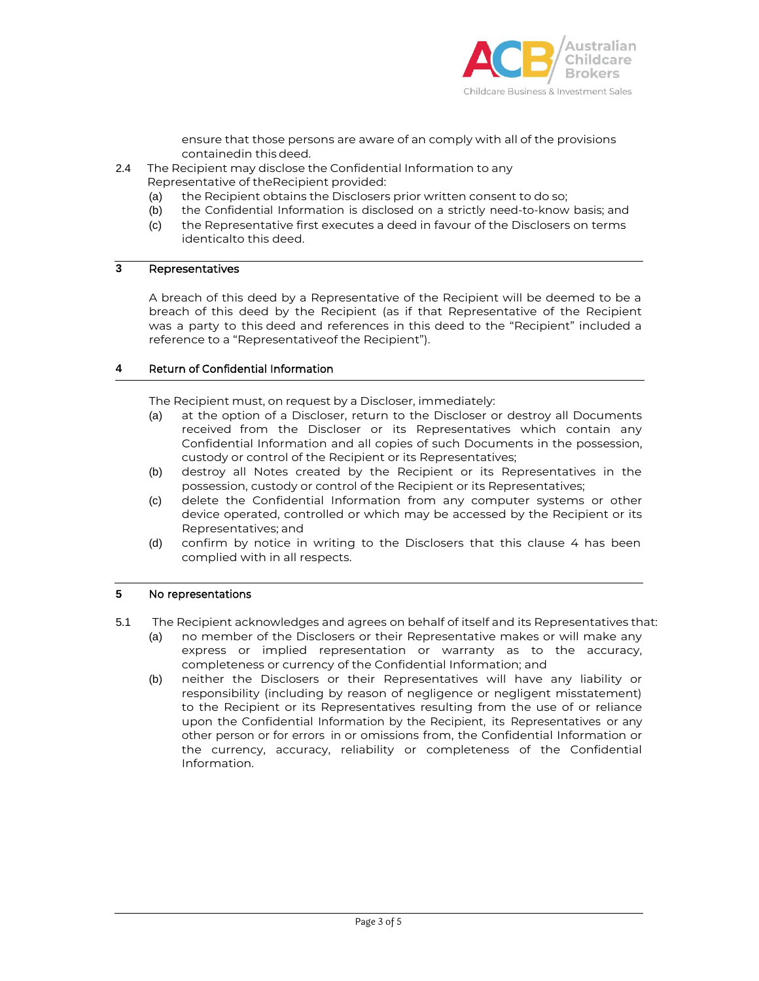

ensure that those persons are aware of an comply with all of the provisions containedin thisdeed.

2.4 The Recipient may disclose the Confidential Information to any

Representative of theRecipient provided:

- (a) the Recipient obtains the Disclosers prior written consent to do so;
- (b) the Confidential Information is disclosed on a strictly need-to-know basis; and
- (c) the Representative first executes a deed in favour of the Disclosers on terms identicalto this deed.

# **3** Representatives

A breach of this deed by a Representative of the Recipient will be deemed to be a breach of this deed by the Recipient (as if that Representative of the Recipient was a party to this deed and references in this deed to the "Recipient" included a reference to a "Representativeof the Recipient").

#### **4** Return of Confidential Information

The Recipient must, on request by a Discloser, immediately:

- (a) at the option of a Discloser, return to the Discloser or destroy all Documents received from the Discloser or its Representatives which contain any Confidential Information and all copies of such Documents in the possession, custody or control of the Recipient or its Representatives;
- (b) destroy all Notes created by the Recipient or its Representatives in the possession, custody or control of the Recipient or its Representatives;
- (c) delete the Confidential Information from any computer systems or other device operated, controlled or which may be accessed by the Recipient or its Representatives; and
- (d) confirm by notice in writing to the Disclosers that this clause 4 has been complied with in all respects.

#### **5** No representations

- 5.1 The Recipient acknowledges and agrees on behalf of itself and its Representatives that:
	- (a) no member of the Disclosers or their Representative makes or will make any express or implied representation or warranty as to the accuracy, completeness or currency of the Confidential Information; and
	- (b) neither the Disclosers or their Representatives will have any liability or responsibility (including by reason of negligence or negligent misstatement) to the Recipient or its Representatives resulting from the use of or reliance upon the Confidential Information by the Recipient, its Representatives or any other person or for errors in or omissions from, the Confidential Information or the currency, accuracy, reliability or completeness of the Confidential Information.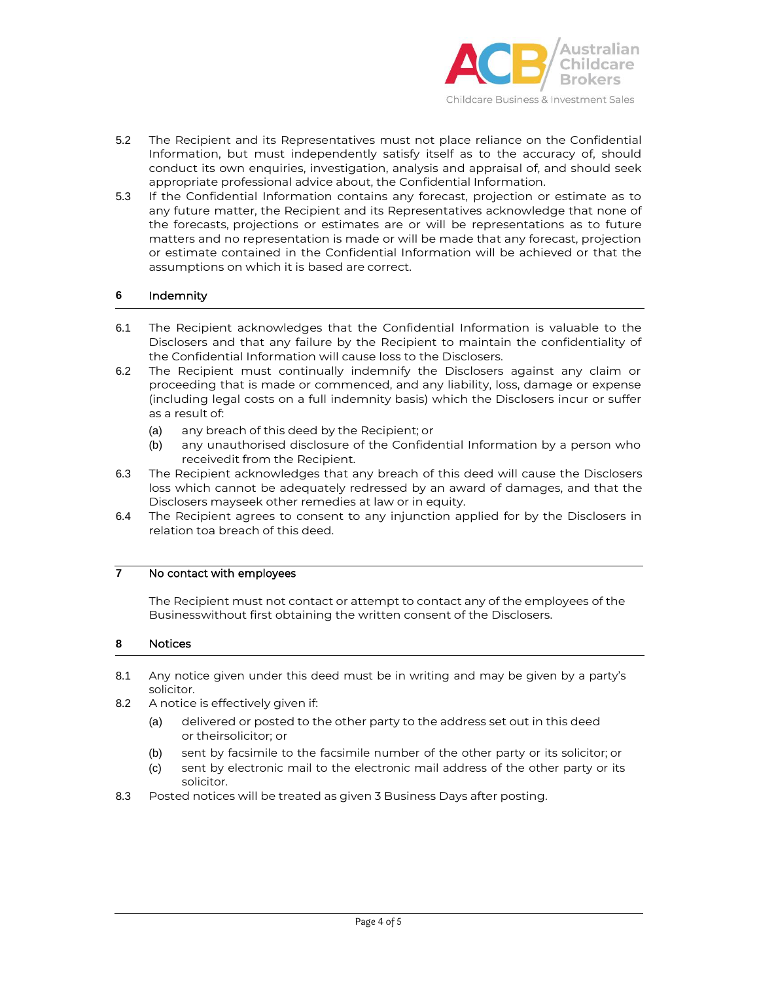

Childcare Business & Investment Sales

- 5.2 The Recipient and its Representatives must not place reliance on the Confidential Information, but must independently satisfy itself as to the accuracy of, should conduct its own enquiries, investigation, analysis and appraisal of, and should seek appropriate professional advice about, the Confidential Information.
- 5.3 If the Confidential Information contains any forecast, projection or estimate as to any future matter, the Recipient and its Representatives acknowledge that none of the forecasts, projections or estimates are or will be representations as to future matters and no representation is made or will be made that any forecast, projection or estimate contained in the Confidential Information will be achieved or that the assumptions on which it is based are correct.

## **6** Indemnity

- 6.1 The Recipient acknowledges that the Confidential Information is valuable to the Disclosers and that any failure by the Recipient to maintain the confidentiality of the Confidential Information will cause loss to the Disclosers.
- 6.2 The Recipient must continually indemnify the Disclosers against any claim or proceeding that is made or commenced, and any liability, loss, damage or expense (including legal costs on a full indemnity basis) which the Disclosers incur or suffer as a result of:
	- (a) any breach of this deed by the Recipient; or
	- (b) any unauthorised disclosure of the Confidential Information by a person who receivedit from the Recipient.
- 6.3 The Recipient acknowledges that any breach of this deed will cause the Disclosers loss which cannot be adequately redressed by an award of damages, and that the Disclosers mayseek other remedies at law or in equity.
- 6.4 The Recipient agrees to consent to any injunction applied for by the Disclosers in relation toa breach of this deed.

# **7** No contact with employees

The Recipient must not contact or attempt to contact any of the employees of the Businesswithout first obtaining the written consent of the Disclosers.

#### **8** Notices

- 8.1 Any notice given under this deed must be in writing and may be given by a party's solicitor.
- 8.2 A notice is effectively given if:
	- (a) delivered or posted to the other party to the address set out in this deed or theirsolicitor; or
	- (b) sent by facsimile to the facsimile number of the other party or its solicitor; or
	- (c) sent by electronic mail to the electronic mail address of the other party or its solicitor.
- 8.3 Posted notices will be treated as given 3 Business Days after posting.